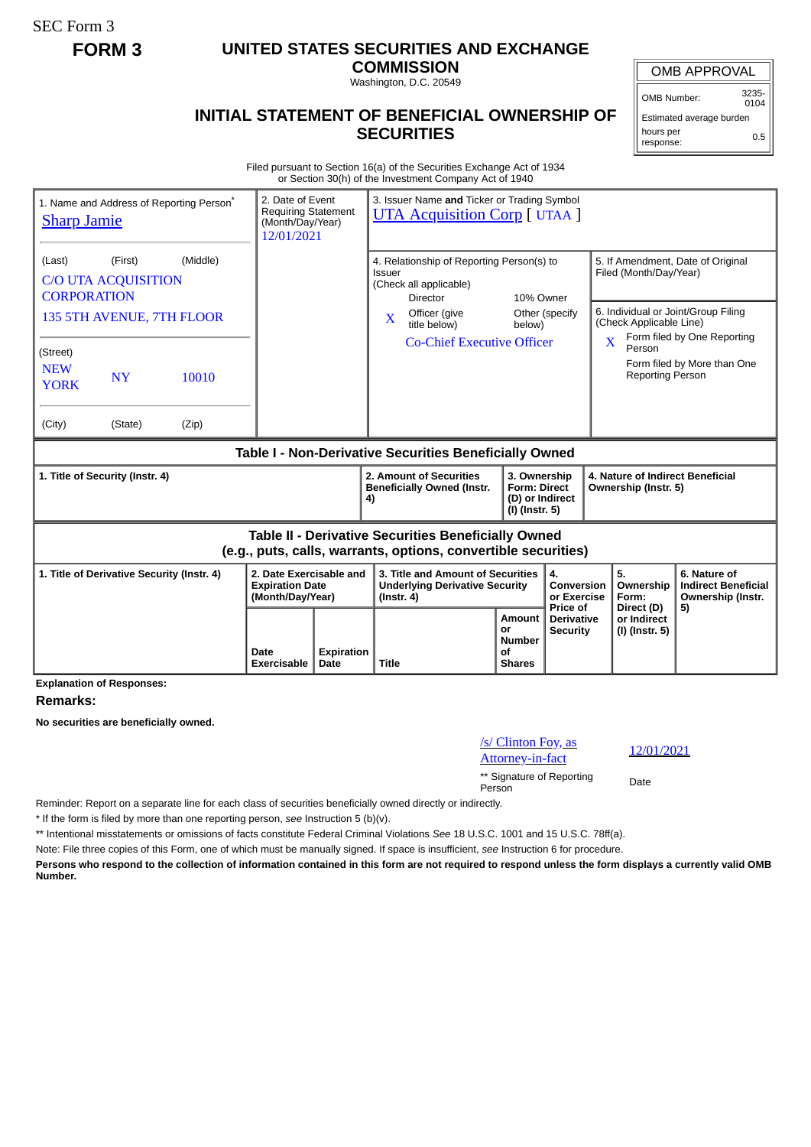SEC Form 3

## **FORM 3 UNITED STATES SECURITIES AND EXCHANGE**

**COMMISSION** Washington, D.C. 20549

## OMB APPROVAL

Estimated average burden hours per 0.5

## **INITIAL STATEMENT OF BENEFICIAL OWNERSHIP OF SECURITIES**

Filed pursuant to Section 16(a) of the Securities Exchange Act of 1934 or Section 30(h) of the Investment Company Act of 1940

| 1. Name and Address of Reporting Person <sup>®</sup><br><b>Sharp Jamie</b>                                                   | 2. Date of Event<br><b>Requiring Statement</b><br>(Month/Day/Year)<br>12/01/2021 |                           | 3. Issuer Name and Ticker or Trading Symbol<br><b>UTA Acquisition Corp</b> [ UTAA ]                                                                                                                |                                                                                                                                      |                                                  |                                                                                                                               |                                                                 |  |
|------------------------------------------------------------------------------------------------------------------------------|----------------------------------------------------------------------------------|---------------------------|----------------------------------------------------------------------------------------------------------------------------------------------------------------------------------------------------|--------------------------------------------------------------------------------------------------------------------------------------|--------------------------------------------------|-------------------------------------------------------------------------------------------------------------------------------|-----------------------------------------------------------------|--|
| (Middle)<br>(First)<br>(Last)<br><b>C/O UTA ACQUISITION</b><br><b>CORPORATION</b><br>135 5TH AVENUE, 7TH FLOOR               |                                                                                  |                           | 4. Relationship of Reporting Person(s) to<br><b>Issuer</b><br>(Check all applicable)<br>10% Owner<br><b>Director</b><br>Officer (give<br>Other (specify)<br>$\mathbf{X}$<br>title below)<br>below) |                                                                                                                                      |                                                  | 5. If Amendment, Date of Original<br>Filed (Month/Day/Year)<br>6. Individual or Joint/Group Filing<br>(Check Applicable Line) |                                                                 |  |
| (Street)<br><b>NEW</b><br><b>NY</b><br>10010<br><b>YORK</b>                                                                  |                                                                                  |                           | <b>Co-Chief Executive Officer</b>                                                                                                                                                                  |                                                                                                                                      |                                                  | $\overline{\mathbf{X}}$<br>Person<br><b>Reporting Person</b>                                                                  | Form filed by One Reporting<br>Form filed by More than One      |  |
| (City)<br>(Zip)<br>(State)                                                                                                   |                                                                                  |                           |                                                                                                                                                                                                    |                                                                                                                                      |                                                  |                                                                                                                               |                                                                 |  |
| Table I - Non-Derivative Securities Beneficially Owned                                                                       |                                                                                  |                           |                                                                                                                                                                                                    |                                                                                                                                      |                                                  |                                                                                                                               |                                                                 |  |
| 1. Title of Security (Instr. 4)                                                                                              |                                                                                  |                           | 2. Amount of Securities<br><b>Beneficially Owned (Instr.</b><br>4)                                                                                                                                 | 3. Ownership<br>4. Nature of Indirect Beneficial<br><b>Form: Direct</b><br>Ownership (Instr. 5)<br>(D) or Indirect<br>(I) (Instr. 5) |                                                  |                                                                                                                               |                                                                 |  |
| <b>Table II - Derivative Securities Beneficially Owned</b><br>(e.g., puts, calls, warrants, options, convertible securities) |                                                                                  |                           |                                                                                                                                                                                                    |                                                                                                                                      |                                                  |                                                                                                                               |                                                                 |  |
| 1. Title of Derivative Security (Instr. 4)                                                                                   | 2. Date Exercisable and<br><b>Expiration Date</b><br>(Month/Day/Year)            |                           | 3. Title and Amount of Securities<br><b>Underlying Derivative Security</b><br>$($ lnstr. 4 $)$                                                                                                     |                                                                                                                                      | 4.<br>Conversion<br>or Exercise                  | 5.<br>Ownership<br>Form:                                                                                                      | 6. Nature of<br><b>Indirect Beneficial</b><br>Ownership (Instr. |  |
| <b>Explanation of Responses:</b>                                                                                             | Date<br>Exercisable                                                              | <b>Expiration</b><br>Date | <b>Title</b>                                                                                                                                                                                       | <b>Amount</b><br>or<br>Number<br>Οf<br><b>Shares</b>                                                                                 | Price of<br><b>Derivative</b><br><b>Security</b> | Direct (D)<br>or Indirect<br>(I) (Instr. 5)                                                                                   | 5)                                                              |  |

**Remarks:**

**No securities are beneficially owned.**

| /s/ Clinton Foy, as                 | 12/0 |
|-------------------------------------|------|
| Attorney-in-fact                    |      |
| ** Signature of Reporting<br>Person | Date |

Attorney-in-fact 12/01/2021

Reminder: Report on a separate line for each class of securities beneficially owned directly or indirectly.

\* If the form is filed by more than one reporting person, *see* Instruction 5 (b)(v).

\*\* Intentional misstatements or omissions of facts constitute Federal Criminal Violations *See* 18 U.S.C. 1001 and 15 U.S.C. 78ff(a).

Note: File three copies of this Form, one of which must be manually signed. If space is insufficient, *see* Instruction 6 for procedure.

**Persons who respond to the collection of information contained in this form are not required to respond unless the form displays a currently valid OMB Number.**

OMB Number: 3235-  $0104$ 

response: